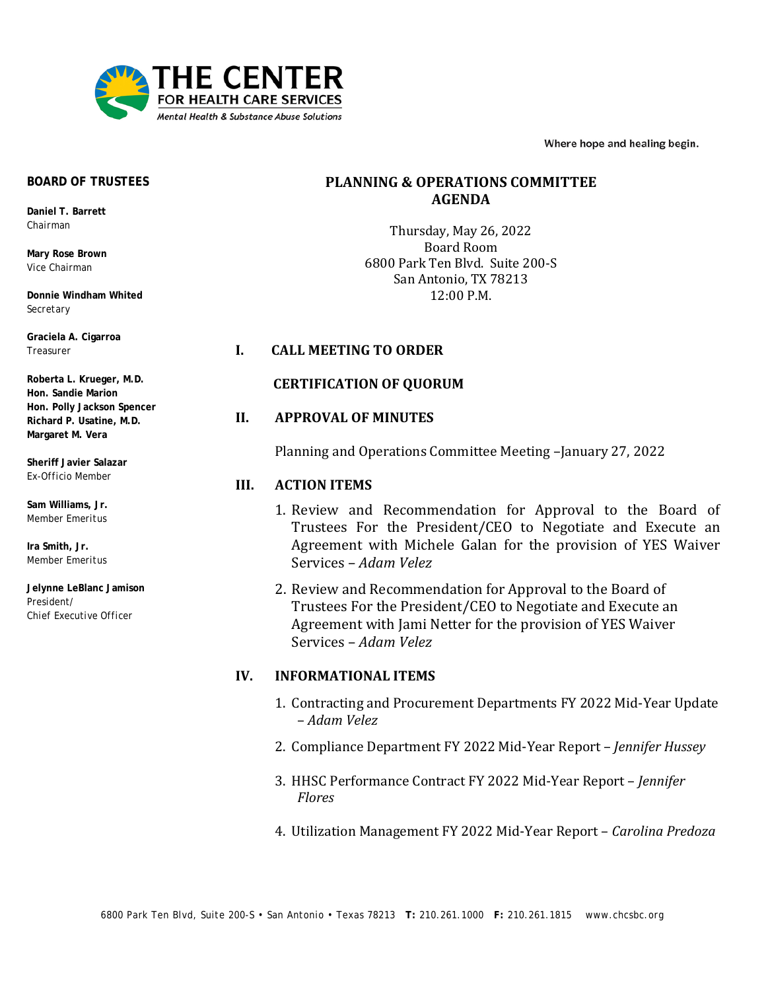

Where hope and healing begin.

#### **BOARD OF TRUSTEES**

**Daniel T. Barrett** *Chairman*

**Mary Rose Brown** *Vice Chairman*

**Donnie Windham Whited** *Secretary*

**Graciela A. Cigarroa** *Treasurer*

**Roberta L. Krueger, M.D. Hon. Sandie Marion Hon. Polly Jackson Spencer Richard P. Usatine, M.D. Margaret M. Vera**

**Sheriff Javier Salazar** *Ex-Officio Member*

**Sam Williams, Jr.** *Member Emeritus*

**Ira Smith, Jr.** *Member Emeritus*

**Jelynne LeBlanc Jamison** *President/ Chief Executive Office*r

# **PLANNING & OPERATIONS COMMITTEE AGENDA**

Thursday, May 26, 2022 Board Room 6800 Park Ten Blvd. Suite 200-S San Antonio, TX 78213 12:00 P.M.

### **I. CALL MEETING TO ORDER**

### **CERTIFICATION OF QUORUM**

### **II. APPROVAL OF MINUTES**

Planning and Operations Committee Meeting –January 27, 2022

## **III. ACTION ITEMS**

- 1. Review and Recommendation for Approval to the Board of Trustees For the President/CEO to Negotiate and Execute an Agreement with Michele Galan for the provision of YES Waiver Services – *Adam Velez*
- 2. Review and Recommendation for Approval to the Board of Trustees For the President/CEO to Negotiate and Execute an Agreement with Jami Netter for the provision of YES Waiver Services – *Adam Velez*

### **IV. INFORMATIONAL ITEMS**

- 1. Contracting and Procurement Departments FY 2022 Mid-Year Update – *Adam Velez*
- 2. Compliance Department FY 2022 Mid-Year Report *Jennifer Hussey*
- 3. HHSC Performance Contract FY 2022 Mid-Year Report *Jennifer Flores*
- 4. Utilization Management FY 2022 Mid-Year Report *Carolina Predoza*